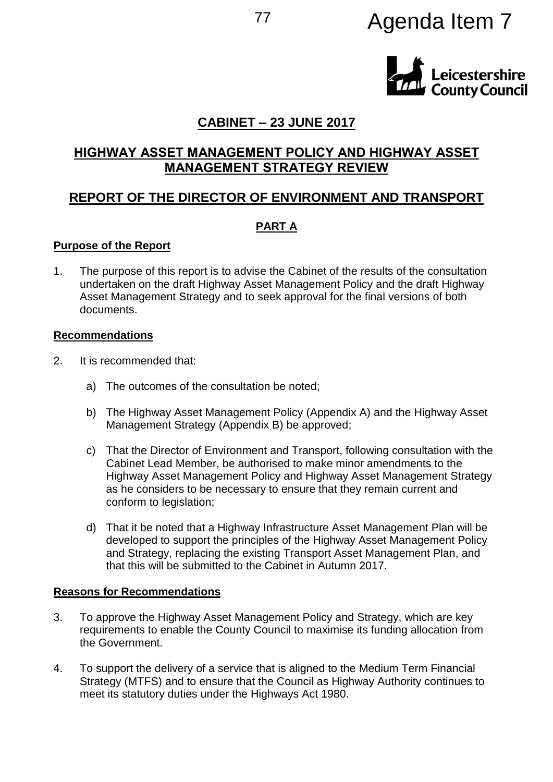# <sup>77</sup> Agenda Item 7



# **CABINET – 23 JUNE 2017**

# **HIGHWAY ASSET MANAGEMENT POLICY AND HIGHWAY ASSET MANAGEMENT STRATEGY REVIEW**

# **REPORT OF THE DIRECTOR OF ENVIRONMENT AND TRANSPORT**

## **PART A**

#### **Purpose of the Report**

1. The purpose of this report is to advise the Cabinet of the results of the consultation undertaken on the draft Highway Asset Management Policy and the draft Highway Asset Management Strategy and to seek approval for the final versions of both documents.

#### **Recommendations**

- 2. It is recommended that:
	- a) The outcomes of the consultation be noted;
	- b) The Highway Asset Management Policy (Appendix A) and the Highway Asset Management Strategy (Appendix B) be approved;
	- c) That the Director of Environment and Transport, following consultation with the Cabinet Lead Member, be authorised to make minor amendments to the Highway Asset Management Policy and Highway Asset Management Strategy as he considers to be necessary to ensure that they remain current and conform to legislation;
	- d) That it be noted that a Highway Infrastructure Asset Management Plan will be developed to support the principles of the Highway Asset Management Policy and Strategy, replacing the existing Transport Asset Management Plan, and that this will be submitted to the Cabinet in Autumn 2017.

#### **Reasons for Recommendations**

- 3. To approve the Highway Asset Management Policy and Strategy, which are key requirements to enable the County Council to maximise its funding allocation from the Government.
- 4. To support the delivery of a service that is aligned to the Medium Term Financial Strategy (MTFS) and to ensure that the Council as Highway Authority continues to meet its statutory duties under the Highways Act 1980.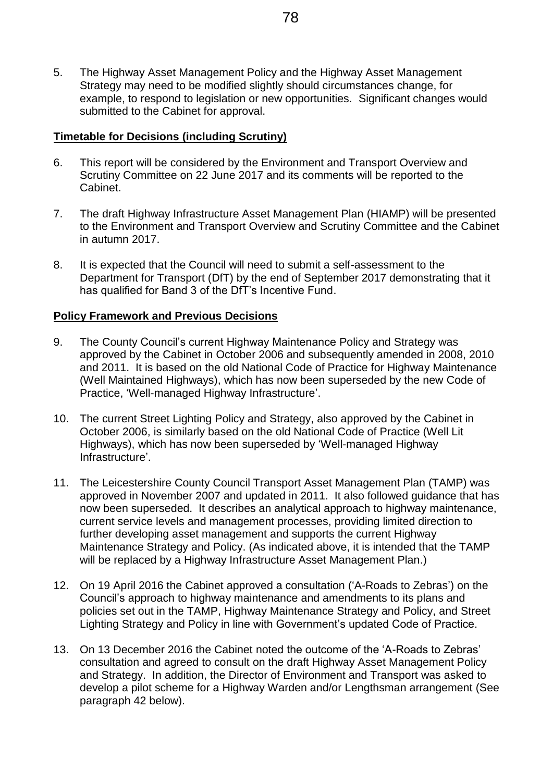5. The Highway Asset Management Policy and the Highway Asset Management Strategy may need to be modified slightly should circumstances change, for example, to respond to legislation or new opportunities. Significant changes would submitted to the Cabinet for approval.

## **Timetable for Decisions (including Scrutiny)**

- 6. This report will be considered by the Environment and Transport Overview and Scrutiny Committee on 22 June 2017 and its comments will be reported to the Cabinet.
- 7. The draft Highway Infrastructure Asset Management Plan (HIAMP) will be presented to the Environment and Transport Overview and Scrutiny Committee and the Cabinet in autumn 2017.
- 8. It is expected that the Council will need to submit a self-assessment to the Department for Transport (DfT) by the end of September 2017 demonstrating that it has qualified for Band 3 of the DfT's Incentive Fund.

## **Policy Framework and Previous Decisions**

- 9. The County Council's current Highway Maintenance Policy and Strategy was approved by the Cabinet in October 2006 and subsequently amended in 2008, 2010 and 2011. It is based on the old National Code of Practice for Highway Maintenance (Well Maintained Highways), which has now been superseded by the new Code of Practice, 'Well-managed Highway Infrastructure'.
- 10. The current Street Lighting Policy and Strategy, also approved by the Cabinet in October 2006, is similarly based on the old National Code of Practice (Well Lit Highways), which has now been superseded by 'Well-managed Highway Infrastructure'.
- 11. The Leicestershire County Council Transport Asset Management Plan (TAMP) was approved in November 2007 and updated in 2011. It also followed guidance that has now been superseded. It describes an analytical approach to highway maintenance, current service levels and management processes, providing limited direction to further developing asset management and supports the current Highway Maintenance Strategy and Policy. (As indicated above, it is intended that the TAMP will be replaced by a Highway Infrastructure Asset Management Plan.)
- 12. On 19 April 2016 the Cabinet approved a consultation ('A-Roads to Zebras') on the Council's approach to highway maintenance and amendments to its plans and policies set out in the TAMP, Highway Maintenance Strategy and Policy, and Street Lighting Strategy and Policy in line with Government's updated Code of Practice.
- 13. On 13 December 2016 the Cabinet noted the outcome of the 'A-Roads to Zebras' consultation and agreed to consult on the draft Highway Asset Management Policy and Strategy. In addition, the Director of Environment and Transport was asked to develop a pilot scheme for a Highway Warden and/or Lengthsman arrangement (See paragraph 42 below).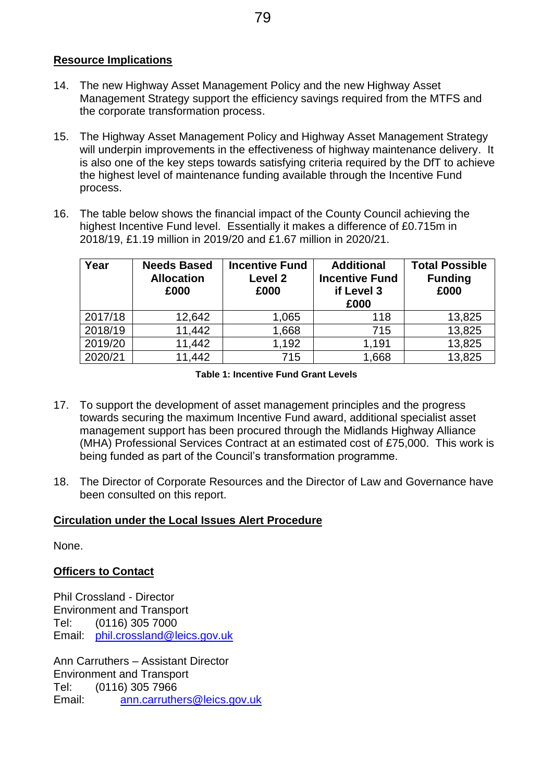## **Resource Implications**

- 14. The new Highway Asset Management Policy and the new Highway Asset Management Strategy support the efficiency savings required from the MTFS and the corporate transformation process.
- 15. The Highway Asset Management Policy and Highway Asset Management Strategy will underpin improvements in the effectiveness of highway maintenance delivery. It is also one of the key steps towards satisfying criteria required by the DfT to achieve the highest level of maintenance funding available through the Incentive Fund process.
- 16. The table below shows the financial impact of the County Council achieving the highest Incentive Fund level. Essentially it makes a difference of £0.715m in 2018/19, £1.19 million in 2019/20 and £1.67 million in 2020/21.

| Year    | <b>Needs Based</b><br><b>Allocation</b><br>£000 | <b>Incentive Fund</b><br>Level 2<br>£000 | <b>Additional</b><br><b>Incentive Fund</b><br>if Level 3<br>£000 | <b>Total Possible</b><br><b>Funding</b><br>£000 |
|---------|-------------------------------------------------|------------------------------------------|------------------------------------------------------------------|-------------------------------------------------|
| 2017/18 | 12,642                                          | 1,065                                    | 118                                                              | 13,825                                          |
| 2018/19 | 11,442                                          | 1,668                                    | 715                                                              | 13,825                                          |
| 2019/20 | 11,442                                          | 1,192                                    | 1,191                                                            | 13,825                                          |
| 2020/21 | 11,442                                          | 715                                      | 1,668                                                            | 13,825                                          |

**Table 1: Incentive Fund Grant Levels**

- 17. To support the development of asset management principles and the progress towards securing the maximum Incentive Fund award, additional specialist asset management support has been procured through the Midlands Highway Alliance (MHA) Professional Services Contract at an estimated cost of £75,000. This work is being funded as part of the Council's transformation programme.
- 18. The Director of Corporate Resources and the Director of Law and Governance have been consulted on this report.

#### **Circulation under the Local Issues Alert Procedure**

None.

#### **Officers to Contact**

Phil Crossland - Director Environment and Transport Tel: (0116) 305 7000 Email: [phil.crossland@leics.gov.uk](mailto:mark.stevens@leics.gov.uk)

Ann Carruthers – Assistant Director Environment and Transport Tel: (0116) 305 7966<br>Email: ann.carruthe [ann.carruthers@leics.gov.uk](mailto:ann.carruthers@leics.gov.uk)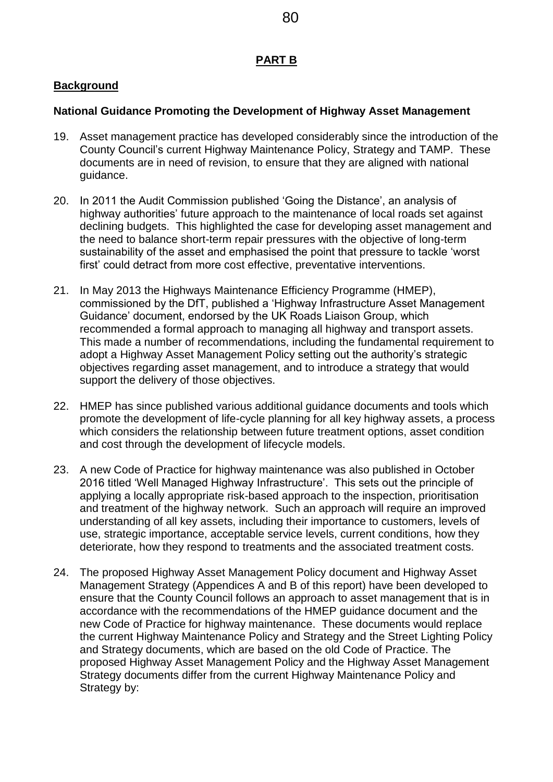## **PART B**

## **Background**

## **National Guidance Promoting the Development of Highway Asset Management**

- 19. Asset management practice has developed considerably since the introduction of the County Council's current Highway Maintenance Policy, Strategy and TAMP. These documents are in need of revision, to ensure that they are aligned with national guidance.
- 20. In 2011 the Audit Commission published 'Going the Distance', an analysis of highway authorities' future approach to the maintenance of local roads set against declining budgets. This highlighted the case for developing asset management and the need to balance short-term repair pressures with the objective of long-term sustainability of the asset and emphasised the point that pressure to tackle 'worst first' could detract from more cost effective, preventative interventions.
- 21. In May 2013 the Highways Maintenance Efficiency Programme (HMEP), commissioned by the DfT, published a 'Highway Infrastructure Asset Management Guidance' document, endorsed by the UK Roads Liaison Group, which recommended a formal approach to managing all highway and transport assets. This made a number of recommendations, including the fundamental requirement to adopt a Highway Asset Management Policy setting out the authority's strategic objectives regarding asset management, and to introduce a strategy that would support the delivery of those objectives.
- 22. HMEP has since published various additional guidance documents and tools which promote the development of life-cycle planning for all key highway assets, a process which considers the relationship between future treatment options, asset condition and cost through the development of lifecycle models.
- 23. A new Code of Practice for highway maintenance was also published in October 2016 titled 'Well Managed Highway Infrastructure'. This sets out the principle of applying a locally appropriate risk-based approach to the inspection, prioritisation and treatment of the highway network. Such an approach will require an improved understanding of all key assets, including their importance to customers, levels of use, strategic importance, acceptable service levels, current conditions, how they deteriorate, how they respond to treatments and the associated treatment costs.
- 24. The proposed Highway Asset Management Policy document and Highway Asset Management Strategy (Appendices A and B of this report) have been developed to ensure that the County Council follows an approach to asset management that is in accordance with the recommendations of the HMEP guidance document and the new Code of Practice for highway maintenance. These documents would replace the current Highway Maintenance Policy and Strategy and the Street Lighting Policy and Strategy documents, which are based on the old Code of Practice. The proposed Highway Asset Management Policy and the Highway Asset Management Strategy documents differ from the current Highway Maintenance Policy and Strategy by:

80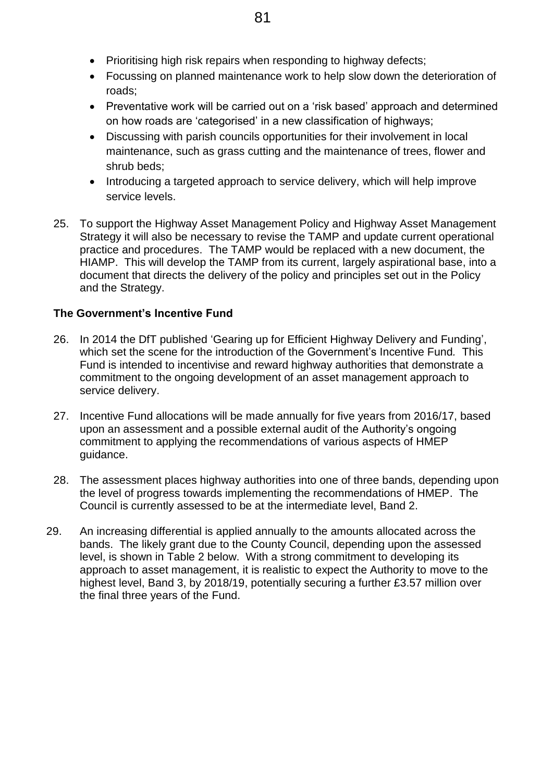- Prioritising high risk repairs when responding to highway defects;
- Focussing on planned maintenance work to help slow down the deterioration of roads;
- Preventative work will be carried out on a 'risk based' approach and determined on how roads are 'categorised' in a new classification of highways;
- Discussing with parish councils opportunities for their involvement in local maintenance, such as grass cutting and the maintenance of trees, flower and shrub beds;
- Introducing a targeted approach to service delivery, which will help improve service levels.
- 25. To support the Highway Asset Management Policy and Highway Asset Management Strategy it will also be necessary to revise the TAMP and update current operational practice and procedures. The TAMP would be replaced with a new document, the HIAMP. This will develop the TAMP from its current, largely aspirational base, into a document that directs the delivery of the policy and principles set out in the Policy and the Strategy.

# **The Government's Incentive Fund**

- 26. In 2014 the DfT published 'Gearing up for Efficient Highway Delivery and Funding', which set the scene for the introduction of the Government's Incentive Fund*.* This Fund is intended to incentivise and reward highway authorities that demonstrate a commitment to the ongoing development of an asset management approach to service delivery.
- 27. Incentive Fund allocations will be made annually for five years from 2016/17, based upon an assessment and a possible external audit of the Authority's ongoing commitment to applying the recommendations of various aspects of HMEP guidance.
- 28. The assessment places highway authorities into one of three bands, depending upon the level of progress towards implementing the recommendations of HMEP. The Council is currently assessed to be at the intermediate level, Band 2.
- 29. An increasing differential is applied annually to the amounts allocated across the bands. The likely grant due to the County Council, depending upon the assessed level, is shown in Table 2 below. With a strong commitment to developing its approach to asset management, it is realistic to expect the Authority to move to the highest level, Band 3, by 2018/19, potentially securing a further £3.57 million over the final three years of the Fund.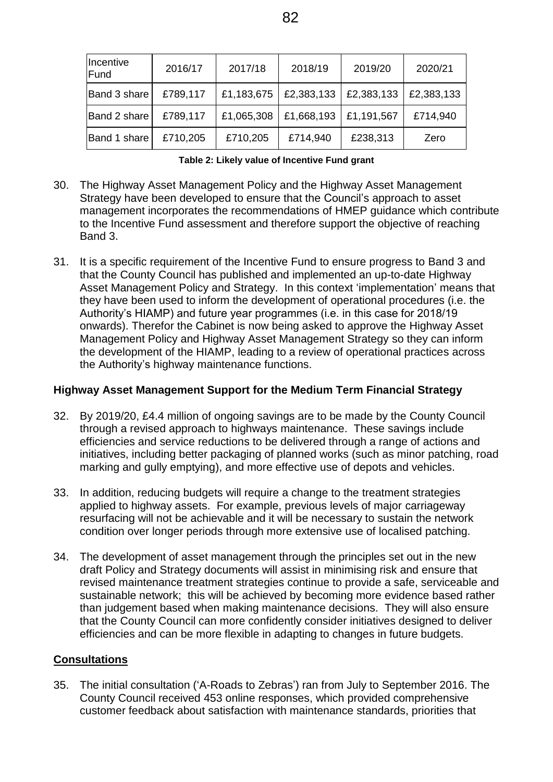| Incentive<br>Fund | 2016/17  | 2017/18    | 2018/19    | 2019/20    | 2020/21    |
|-------------------|----------|------------|------------|------------|------------|
| Band 3 share      | £789,117 | £1,183,675 | £2,383,133 | £2,383,133 | £2,383,133 |
| Band 2 share      | £789,117 | £1,065,308 | £1,668,193 | £1,191,567 | £714,940   |
| Band 1 share      | £710,205 | £710,205   | £714,940   | £238,313   | Zero       |

|  |  | Table 2: Likely value of Incentive Fund grant |  |
|--|--|-----------------------------------------------|--|
|  |  |                                               |  |

- 30. The Highway Asset Management Policy and the Highway Asset Management Strategy have been developed to ensure that the Council's approach to asset management incorporates the recommendations of HMEP guidance which contribute to the Incentive Fund assessment and therefore support the objective of reaching Band 3.
- 31. It is a specific requirement of the Incentive Fund to ensure progress to Band 3 and that the County Council has published and implemented an up-to-date Highway Asset Management Policy and Strategy. In this context 'implementation' means that they have been used to inform the development of operational procedures (i.e. the Authority's HIAMP) and future year programmes (i.e. in this case for 2018/19 onwards). Therefor the Cabinet is now being asked to approve the Highway Asset Management Policy and Highway Asset Management Strategy so they can inform the development of the HIAMP, leading to a review of operational practices across the Authority's highway maintenance functions.

#### **Highway Asset Management Support for the Medium Term Financial Strategy**

- 32. By 2019/20, £4.4 million of ongoing savings are to be made by the County Council through a revised approach to highways maintenance. These savings include efficiencies and service reductions to be delivered through a range of actions and initiatives, including better packaging of planned works (such as minor patching, road marking and gully emptying), and more effective use of depots and vehicles.
- 33. In addition, reducing budgets will require a change to the treatment strategies applied to highway assets. For example, previous levels of major carriageway resurfacing will not be achievable and it will be necessary to sustain the network condition over longer periods through more extensive use of localised patching.
- 34. The development of asset management through the principles set out in the new draft Policy and Strategy documents will assist in minimising risk and ensure that revised maintenance treatment strategies continue to provide a safe, serviceable and sustainable network; this will be achieved by becoming more evidence based rather than judgement based when making maintenance decisions. They will also ensure that the County Council can more confidently consider initiatives designed to deliver efficiencies and can be more flexible in adapting to changes in future budgets.

#### **Consultations**

35. The initial consultation ('A-Roads to Zebras') ran from July to September 2016. The County Council received 453 online responses, which provided comprehensive customer feedback about satisfaction with maintenance standards, priorities that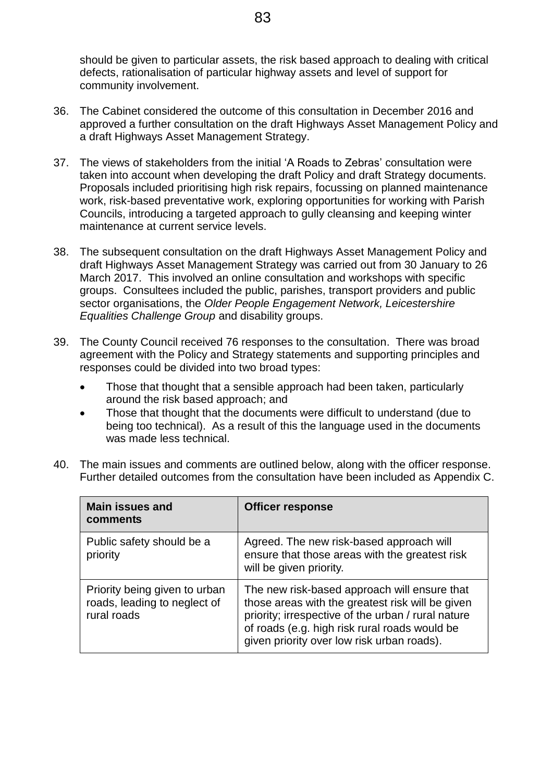should be given to particular assets, the risk based approach to dealing with critical defects, rationalisation of particular highway assets and level of support for community involvement.

- 36. The Cabinet considered the outcome of this consultation in December 2016 and approved a further consultation on the draft Highways Asset Management Policy and a draft Highways Asset Management Strategy.
- 37. The views of stakeholders from the initial 'A Roads to Zebras' consultation were taken into account when developing the draft Policy and draft Strategy documents. Proposals included prioritising high risk repairs, focussing on planned maintenance work, risk-based preventative work, exploring opportunities for working with Parish Councils, introducing a targeted approach to gully cleansing and keeping winter maintenance at current service levels.
- 38. The subsequent consultation on the draft Highways Asset Management Policy and draft Highways Asset Management Strategy was carried out from 30 January to 26 March 2017. This involved an online consultation and workshops with specific groups. Consultees included the public, parishes, transport providers and public sector organisations, the *Older People Engagement Network, Leicestershire Equalities Challenge Group* and disability groups.
- 39. The County Council received 76 responses to the consultation. There was broad agreement with the Policy and Strategy statements and supporting principles and responses could be divided into two broad types:
	- Those that thought that a sensible approach had been taken, particularly around the risk based approach; and
	- Those that thought that the documents were difficult to understand (due to being too technical). As a result of this the language used in the documents was made less technical.

| <b>Main issues and</b><br>comments                                           | <b>Officer response</b>                                                                                                                                                                                                                               |
|------------------------------------------------------------------------------|-------------------------------------------------------------------------------------------------------------------------------------------------------------------------------------------------------------------------------------------------------|
| Public safety should be a<br>priority                                        | Agreed. The new risk-based approach will<br>ensure that those areas with the greatest risk<br>will be given priority.                                                                                                                                 |
| Priority being given to urban<br>roads, leading to neglect of<br>rural roads | The new risk-based approach will ensure that<br>those areas with the greatest risk will be given<br>priority; irrespective of the urban / rural nature<br>of roads (e.g. high risk rural roads would be<br>given priority over low risk urban roads). |

40. The main issues and comments are outlined below, along with the officer response. Further detailed outcomes from the consultation have been included as Appendix C.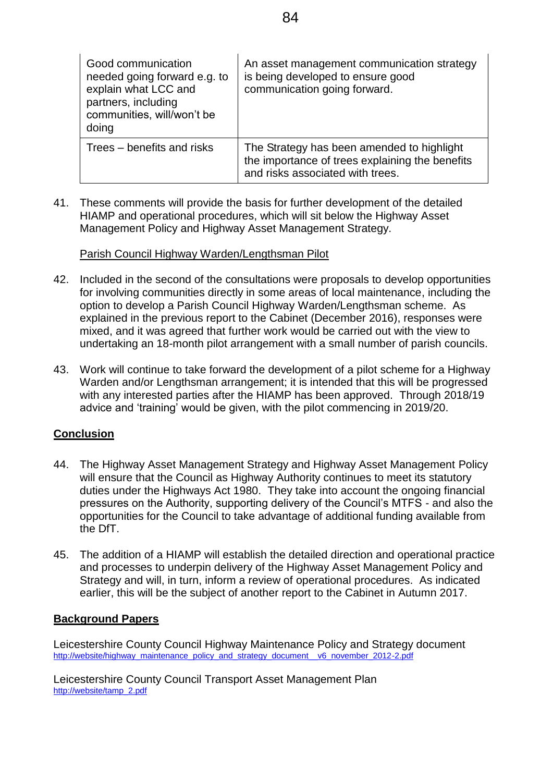| Good communication<br>needed going forward e.g. to<br>explain what LCC and<br>partners, including<br>communities, will/won't be<br>doing | An asset management communication strategy<br>is being developed to ensure good<br>communication going forward.                   |
|------------------------------------------------------------------------------------------------------------------------------------------|-----------------------------------------------------------------------------------------------------------------------------------|
| Trees – benefits and risks                                                                                                               | The Strategy has been amended to highlight<br>the importance of trees explaining the benefits<br>and risks associated with trees. |

41. These comments will provide the basis for further development of the detailed HIAMP and operational procedures, which will sit below the Highway Asset Management Policy and Highway Asset Management Strategy.

#### Parish Council Highway Warden/Lengthsman Pilot

- 42. Included in the second of the consultations were proposals to develop opportunities for involving communities directly in some areas of local maintenance, including the option to develop a Parish Council Highway Warden/Lengthsman scheme. As explained in the previous report to the Cabinet (December 2016), responses were mixed, and it was agreed that further work would be carried out with the view to undertaking an 18-month pilot arrangement with a small number of parish councils.
- 43. Work will continue to take forward the development of a pilot scheme for a Highway Warden and/or Lengthsman arrangement; it is intended that this will be progressed with any interested parties after the HIAMP has been approved. Through 2018/19 advice and 'training' would be given, with the pilot commencing in 2019/20.

#### **Conclusion**

- 44. The Highway Asset Management Strategy and Highway Asset Management Policy will ensure that the Council as Highway Authority continues to meet its statutory duties under the Highways Act 1980. They take into account the ongoing financial pressures on the Authority, supporting delivery of the Council's MTFS - and also the opportunities for the Council to take advantage of additional funding available from the DfT.
- 45. The addition of a HIAMP will establish the detailed direction and operational practice and processes to underpin delivery of the Highway Asset Management Policy and Strategy and will, in turn, inform a review of operational procedures. As indicated earlier, this will be the subject of another report to the Cabinet in Autumn 2017.

#### **Background Papers**

Leicestershire County Council Highway Maintenance Policy and Strategy document [http://website/highway\\_maintenance\\_policy\\_and\\_strategy\\_document\\_\\_v6\\_november\\_2012-2.pdf](http://website/highway_maintenance_policy_and_strategy_document__v6_november_2012-2.pdf)

Leicestershire County Council Transport Asset Management Plan [http://website/tamp\\_2.pdf](http://website/tamp_2.pdf)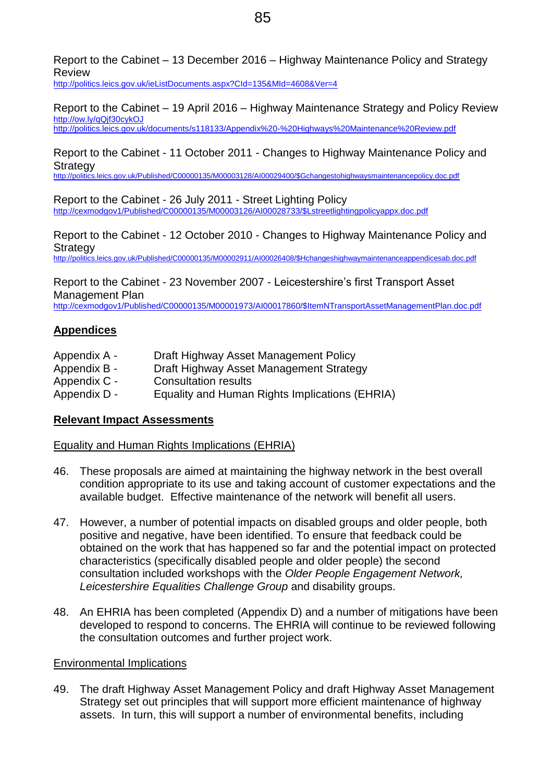Report to the Cabinet – 13 December 2016 – Highway Maintenance Policy and Strategy Review

<http://politics.leics.gov.uk/ieListDocuments.aspx?CId=135&MId=4608&Ver=4>

Report to the Cabinet – 19 April 2016 – Highway Maintenance Strategy and Policy Review <http://ow.ly/qQjf30cykOJ> <http://politics.leics.gov.uk/documents/s118133/Appendix%20-%20Highways%20Maintenance%20Review.pdf>

## Report to the Cabinet - 11 October 2011 - Changes to Highway Maintenance Policy and **Strategy**

[http://politics.leics.gov.uk/Published/C00000135/M00003128/AI00029400/\\$Gchangestohighwaysmaintenancepolicy.doc.pdf](http://politics.leics.gov.uk/Published/C00000135/M00003128/AI00029400/$Gchangestohighwaysmaintenancepolicy.doc.pdf)

Report to the Cabinet - 26 July 2011 - Street Lighting Policy [http://cexmodgov1/Published/C00000135/M00003126/AI00028733/\\$Lstreetlightingpolicyappx.doc.pdf](http://cexmodgov1/Published/C00000135/M00003126/AI00028733/$Lstreetlightingpolicyappx.doc.pdf)

Report to the Cabinet - 12 October 2010 - Changes to Highway Maintenance Policy and **Strategy** [http://politics.leics.gov.uk/Published/C00000135/M00002911/AI00026408/\\$Hchangeshighwaymaintenanceappendicesab.doc.pdf](http://politics.leics.gov.uk/Published/C00000135/M00002911/AI00026408/$Hchangeshighwaymaintenanceappendicesab.doc.pdf)

Report to the Cabinet - 23 November 2007 - Leicestershire's first Transport Asset Management Plan

[http://cexmodgov1/Published/C00000135/M00001973/AI00017860/\\$ItemNTransportAssetManagementPlan.doc.pdf](http://cexmodgov1/Published/C00000135/M00001973/AI00017860/$ItemNTransportAssetManagementPlan.doc.pdf)

## **Appendices**

| Appendix A - | Draft Highway Asset Management Policy          |
|--------------|------------------------------------------------|
| Appendix B - | Draft Highway Asset Management Strategy        |
| Appendix C - | <b>Consultation results</b>                    |
| Appendix D - | Equality and Human Rights Implications (EHRIA) |

#### **Relevant Impact Assessments**

#### Equality and Human Rights Implications (EHRIA)

- 46. These proposals are aimed at maintaining the highway network in the best overall condition appropriate to its use and taking account of customer expectations and the available budget. Effective maintenance of the network will benefit all users.
- 47. However, a number of potential impacts on disabled groups and older people, both positive and negative, have been identified. To ensure that feedback could be obtained on the work that has happened so far and the potential impact on protected characteristics (specifically disabled people and older people) the second consultation included workshops with the *Older People Engagement Network, Leicestershire Equalities Challenge Group* and disability groups.
- 48. An EHRIA has been completed (Appendix D) and a number of mitigations have been developed to respond to concerns. The EHRIA will continue to be reviewed following the consultation outcomes and further project work.

#### Environmental Implications

49. The draft Highway Asset Management Policy and draft Highway Asset Management Strategy set out principles that will support more efficient maintenance of highway assets. In turn, this will support a number of environmental benefits, including